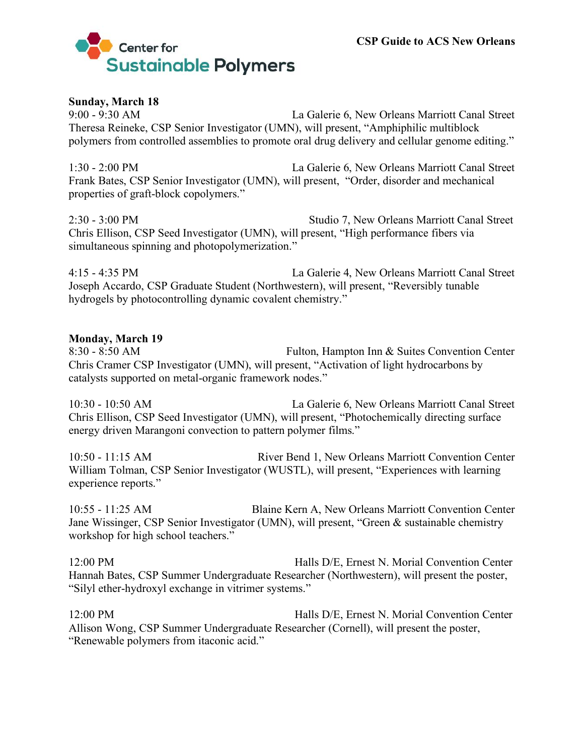

## **Sunday, March 18**

9:00 - 9:30 AM La Galerie 6, New Orleans Marriott Canal Street Theresa Reineke, CSP Senior Investigator (UMN), will present, "Amphiphilic multiblock polymers from controlled assemblies to promote oral drug delivery and cellular genome editing."

1:30 - 2:00 PM La Galerie 6, New Orleans Marriott Canal Street Frank Bates, CSP Senior Investigator (UMN), will present, "Order, disorder and mechanical properties of graft-block copolymers."

2:30 - 3:00 PM Studio 7, New Orleans Marriott Canal Street Chris Ellison, CSP Seed Investigator (UMN), will present, "High performance fibers via simultaneous spinning and photopolymerization."

4:15 - 4:35 PM La Galerie 4, New Orleans Marriott Canal Street Joseph Accardo, CSP Graduate Student (Northwestern), will present, "Reversibly tunable hydrogels by photocontrolling dynamic covalent chemistry."

#### **Monday, March 19**

8:30 - 8:50 AM Fulton, Hampton Inn & Suites Convention Center Chris Cramer CSP Investigator (UMN), will present, "Activation of light hydrocarbons by catalysts supported on metal-organic framework nodes."

10:30 - 10:50 AM La Galerie 6, New Orleans Marriott Canal Street Chris Ellison, CSP Seed Investigator (UMN), will present, "Photochemically directing surface energy driven Marangoni convection to pattern polymer films."

10:50 - 11:15 AM River Bend 1, New Orleans Marriott Convention Center William Tolman, CSP Senior Investigator (WUSTL), will present, "Experiences with learning experience reports."

10:55 - 11:25 AM Blaine Kern A, New Orleans Marriott Convention Center Jane Wissinger, CSP Senior Investigator (UMN), will present, "Green & sustainable chemistry workshop for high school teachers."

12:00 PM Halls D/E, Ernest N. Morial Convention Center Hannah Bates, CSP Summer Undergraduate Researcher (Northwestern), will present the poster, "Silyl ether-hydroxyl exchange in vitrimer systems."

12:00 PM Halls D/E, Ernest N. Morial Convention Center Allison Wong, CSP Summer Undergraduate Researcher (Cornell), will present the poster, "Renewable polymers from itaconic acid."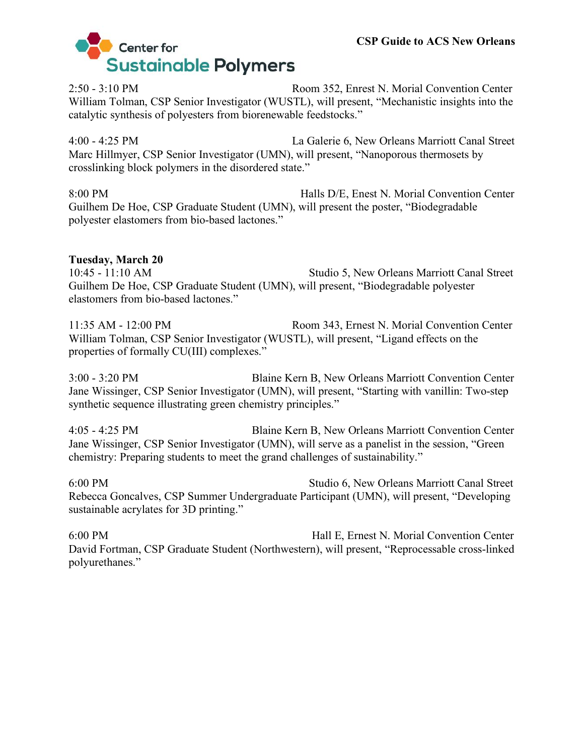

2:50 - 3:10 PM Room 352, Enrest N. Morial Convention Center William Tolman, CSP Senior Investigator (WUSTL), will present, "Mechanistic insights into the catalytic synthesis of polyesters from biorenewable feedstocks."

4:00 - 4:25 PM La Galerie 6, New Orleans Marriott Canal Street Marc Hillmyer, CSP Senior Investigator (UMN), will present, "Nanoporous thermosets by crosslinking block polymers in the disordered state."

8:00 PM Halls D/E, Enest N. Morial Convention Center Guilhem De Hoe, CSP Graduate Student (UMN), will present the poster, "Biodegradable polyester elastomers from bio-based lactones."

## **Tuesday, March 20**

10:45 - 11:10 AM Studio 5, New Orleans Marriott Canal Street Guilhem De Hoe, CSP Graduate Student (UMN), will present, "Biodegradable polyester elastomers from bio-based lactones."

11:35 AM - 12:00 PM Room 343, Ernest N. Morial Convention Center William Tolman, CSP Senior Investigator (WUSTL), will present, "Ligand effects on the properties of formally CU(III) complexes."

3:00 - 3:20 PM Blaine Kern B, New Orleans Marriott Convention Center Jane Wissinger, CSP Senior Investigator (UMN), will present, "Starting with vanillin: Two-step synthetic sequence illustrating green chemistry principles."

4:05 - 4:25 PM Blaine Kern B, New Orleans Marriott Convention Center Jane Wissinger, CSP Senior Investigator (UMN), will serve as a panelist in the session, "Green chemistry: Preparing students to meet the grand challenges of sustainability."

6:00 PM Studio 6, New Orleans Marriott Canal Street Rebecca Goncalves, CSP Summer Undergraduate Participant (UMN), will present, "Developing sustainable acrylates for 3D printing."

6:00 PM Hall E, Ernest N. Morial Convention Center David Fortman, CSP Graduate Student (Northwestern), will present, "Reprocessable cross-linked polyurethanes."